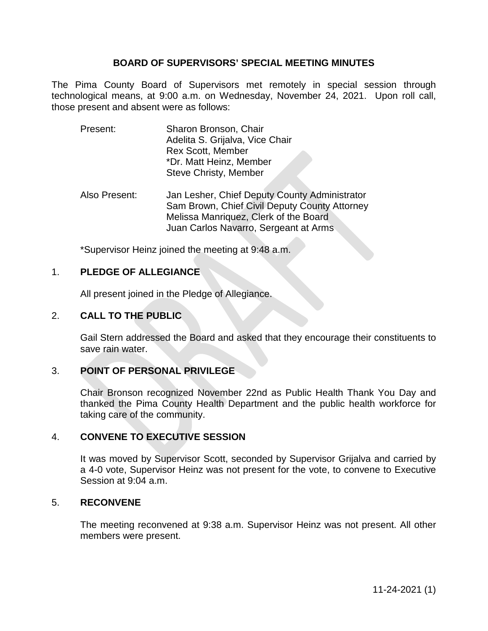## **BOARD OF SUPERVISORS' SPECIAL MEETING MINUTES**

The Pima County Board of Supervisors met remotely in special session through technological means, at 9:00 a.m. on Wednesday, November 24, 2021. Upon roll call, those present and absent were as follows:

- Present: Sharon Bronson, Chair Adelita S. Grijalva, Vice Chair Rex Scott, Member \*Dr. Matt Heinz, Member Steve Christy, Member
- Also Present: Jan Lesher, Chief Deputy County Administrator Sam Brown, Chief Civil Deputy County Attorney Melissa Manriquez, Clerk of the Board Juan Carlos Navarro, Sergeant at Arms

\*Supervisor Heinz joined the meeting at 9:48 a.m.

## 1. **PLEDGE OF ALLEGIANCE**

All present joined in the Pledge of Allegiance.

# 2. **CALL TO THE PUBLIC**

Gail Stern addressed the Board and asked that they encourage their constituents to save rain water.

#### 3. **POINT OF PERSONAL PRIVILEGE**

Chair Bronson recognized November 22nd as Public Health Thank You Day and thanked the Pima County Health Department and the public health workforce for taking care of the community.

# 4. **CONVENE TO EXECUTIVE SESSION**

It was moved by Supervisor Scott, seconded by Supervisor Grijalva and carried by a 4-0 vote, Supervisor Heinz was not present for the vote, to convene to Executive Session at 9:04 a.m.

#### 5. **RECONVENE**

The meeting reconvened at 9:38 a.m. Supervisor Heinz was not present. All other members were present.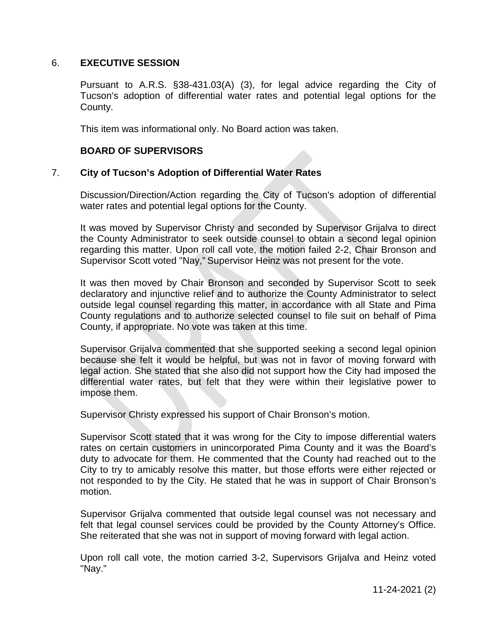# 6. **EXECUTIVE SESSION**

Pursuant to A.R.S. §38-431.03(A) (3), for legal advice regarding the City of Tucson's adoption of differential water rates and potential legal options for the County.

This item was informational only. No Board action was taken.

## **BOARD OF SUPERVISORS**

## 7. **City of Tucson's Adoption of Differential Water Rates**

Discussion/Direction/Action regarding the City of Tucson's adoption of differential water rates and potential legal options for the County.

It was moved by Supervisor Christy and seconded by Supervisor Grijalva to direct the County Administrator to seek outside counsel to obtain a second legal opinion regarding this matter. Upon roll call vote, the motion failed 2-2, Chair Bronson and Supervisor Scott voted "Nay," Supervisor Heinz was not present for the vote.

It was then moved by Chair Bronson and seconded by Supervisor Scott to seek declaratory and injunctive relief and to authorize the County Administrator to select outside legal counsel regarding this matter, in accordance with all State and Pima County regulations and to authorize selected counsel to file suit on behalf of Pima County, if appropriate. No vote was taken at this time.

Supervisor Grijalva commented that she supported seeking a second legal opinion because she felt it would be helpful, but was not in favor of moving forward with legal action. She stated that she also did not support how the City had imposed the differential water rates, but felt that they were within their legislative power to impose them.

Supervisor Christy expressed his support of Chair Bronson's motion.

Supervisor Scott stated that it was wrong for the City to impose differential waters rates on certain customers in unincorporated Pima County and it was the Board's duty to advocate for them. He commented that the County had reached out to the City to try to amicably resolve this matter, but those efforts were either rejected or not responded to by the City. He stated that he was in support of Chair Bronson's motion.

Supervisor Grijalva commented that outside legal counsel was not necessary and felt that legal counsel services could be provided by the County Attorney's Office. She reiterated that she was not in support of moving forward with legal action.

Upon roll call vote, the motion carried 3-2, Supervisors Grijalva and Heinz voted "Nay."